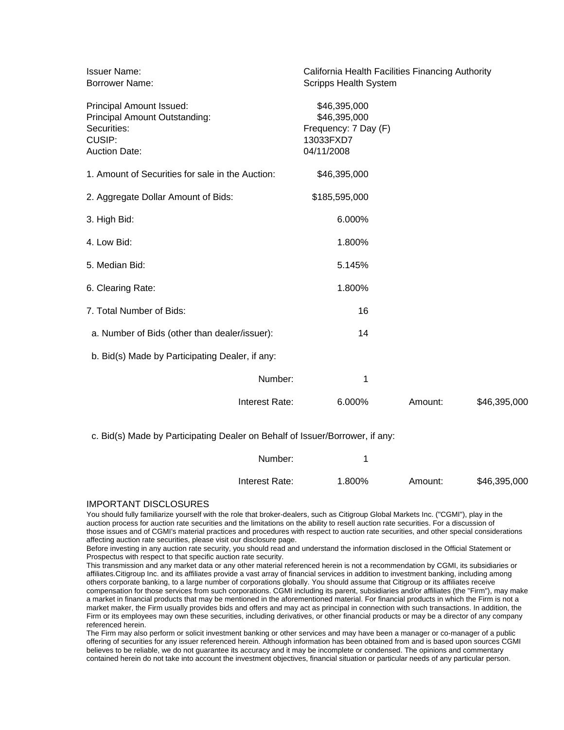| <b>Issuer Name:</b><br><b>Borrower Name:</b>                                                                      | California Health Facilities Financing Authority<br><b>Scripps Health System</b> |         |              |
|-------------------------------------------------------------------------------------------------------------------|----------------------------------------------------------------------------------|---------|--------------|
| Principal Amount Issued:<br><b>Principal Amount Outstanding:</b><br>Securities:<br>CUSIP:<br><b>Auction Date:</b> | \$46,395,000<br>\$46,395,000<br>Frequency: 7 Day (F)<br>13033FXD7<br>04/11/2008  |         |              |
| 1. Amount of Securities for sale in the Auction:                                                                  | \$46,395,000                                                                     |         |              |
| 2. Aggregate Dollar Amount of Bids:                                                                               | \$185,595,000                                                                    |         |              |
| 3. High Bid:                                                                                                      | 6.000%                                                                           |         |              |
| 4. Low Bid:                                                                                                       | 1.800%                                                                           |         |              |
| 5. Median Bid:                                                                                                    | 5.145%                                                                           |         |              |
| 6. Clearing Rate:                                                                                                 | 1.800%                                                                           |         |              |
| 7. Total Number of Bids:                                                                                          | 16                                                                               |         |              |
| a. Number of Bids (other than dealer/issuer):                                                                     | 14                                                                               |         |              |
| b. Bid(s) Made by Participating Dealer, if any:                                                                   |                                                                                  |         |              |
| Number:                                                                                                           | 1                                                                                |         |              |
| Interest Rate:                                                                                                    | 6.000%                                                                           | Amount: | \$46,395,000 |
|                                                                                                                   |                                                                                  |         |              |

c. Bid(s) Made by Participating Dealer on Behalf of Issuer/Borrower, if any:

| Number:        |        |         |              |
|----------------|--------|---------|--------------|
| Interest Rate: | 1.800% | Amount: | \$46,395,000 |

## IMPORTANT DISCLOSURES

You should fully familiarize yourself with the role that broker-dealers, such as Citigroup Global Markets Inc. ("CGMI"), play in the auction process for auction rate securities and the limitations on the ability to resell auction rate securities. For a discussion of those issues and of CGMI's material practices and procedures with respect to auction rate securities, and other special considerations affecting auction rate securities, please visit our disclosure page.

Before investing in any auction rate security, you should read and understand the information disclosed in the Official Statement or Prospectus with respect to that specific auction rate security.

This transmission and any market data or any other material referenced herein is not a recommendation by CGMI, its subsidiaries or affiliates.Citigroup Inc. and its affiliates provide a vast array of financial services in addition to investment banking, including among others corporate banking, to a large number of corporations globally. You should assume that Citigroup or its affiliates receive compensation for those services from such corporations. CGMI including its parent, subsidiaries and/or affiliates (the "Firm"), may make a market in financial products that may be mentioned in the aforementioned material. For financial products in which the Firm is not a market maker, the Firm usually provides bids and offers and may act as principal in connection with such transactions. In addition, the Firm or its employees may own these securities, including derivatives, or other financial products or may be a director of any company referenced herein.

The Firm may also perform or solicit investment banking or other services and may have been a manager or co-manager of a public offering of securities for any issuer referenced herein. Although information has been obtained from and is based upon sources CGMI believes to be reliable, we do not guarantee its accuracy and it may be incomplete or condensed. The opinions and commentary contained herein do not take into account the investment objectives, financial situation or particular needs of any particular person.